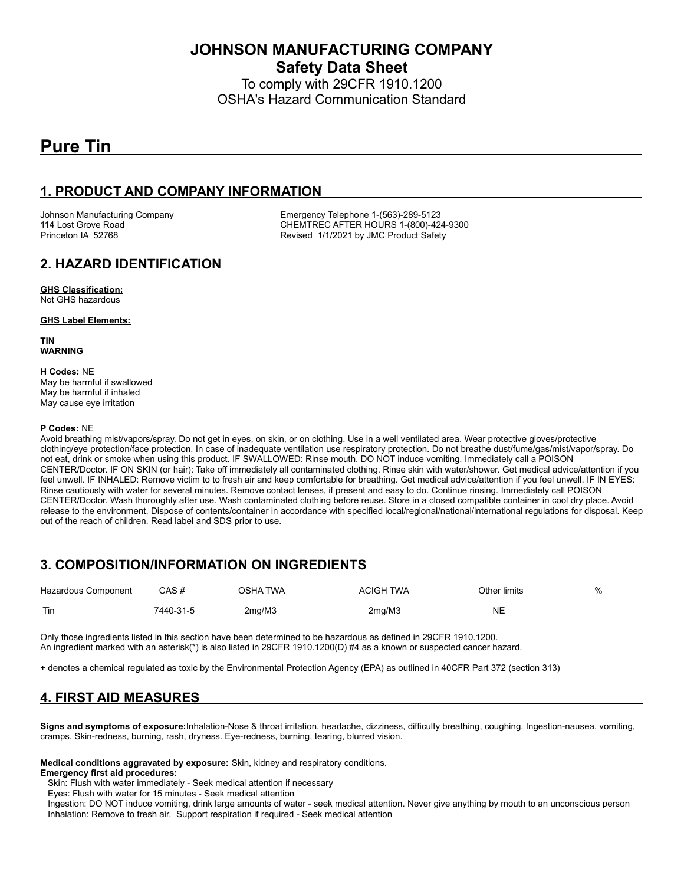**JOHNSON MANUFACTURING COMPANY Safety Data Sheet**

To comply with 29CFR 1910.1200 OSHA's Hazard Communication Standard

# **Pure Tin**

### **1. PRODUCT AND COMPANY INFORMATION**

Johnson Manufacturing Company **Emergency Telephone 1-(563)-289-5123**<br>114 Lost Grove Road **COMPAN COMPANE CONTREC AFTER HOURS** 1-(800)-42 CHEMTREC AFTER HOURS 1-(800)-424-9300 Princeton IA 52768 **Revised 1/1/2021 by JMC Product Safety** 

#### **2. HAZARD IDENTIFICATION**

**GHS Classification:** Not GHS hazardous

#### **GHS Label Elements:**

**TIN WARNING**

#### **H Codes:** NE

May be harmful if swallowed May be harmful if inhaled May cause eye irritation

#### **P Codes:** NE

Avoid breathing mist/vapors/spray. Do not get in eyes, on skin, or on clothing. Use in a well ventilated area. Wear protective gloves/protective clothing/eye protection/face protection. In case of inadequate ventilation use respiratory protection. Do not breathe dust/fume/gas/mist/vapor/spray. Do not eat, drink or smoke when using this product. IF SWALLOWED: Rinse mouth. DO NOT induce vomiting. Immediately call a POISON CENTER/Doctor. IF ON SKIN (or hair): Take off immediately all contaminated clothing. Rinse skin with water/shower. Get medical advice/attention if you feel unwell. IF INHALED: Remove victim to to fresh air and keep comfortable for breathing. Get medical advice/attention if you feel unwell. IF IN EYES: Rinse cautiously with water for several minutes. Remove contact lenses, if present and easy to do. Continue rinsing. Immediately call POISON CENTER/Doctor. Wash thoroughly after use. Wash contaminated clothing before reuse. Store in a closed compatible container in cool dry place. Avoid release to the environment. Dispose of contents/container in accordance with specified local/regional/national/international regulations for disposal. Keep out of the reach of children. Read label and SDS prior to use.

## **3. COMPOSITION/INFORMATION ON INGREDIENTS**

| Hazardous Component | CAS #     | OSHA TWA | <b>ACIGH TWA</b> | Other limits | % |
|---------------------|-----------|----------|------------------|--------------|---|
| Tin                 | 7440-31-5 | 2mq/M3   | 2mq/M3           | <b>NE</b>    |   |

Only those ingredients listed in this section have been determined to be hazardous as defined in 29CFR 1910.1200. An ingredient marked with an asterisk(\*) is also listed in 29CFR 1910.1200(D) #4 as a known or suspected cancer hazard.

+ denotes a chemical regulated as toxic by the Environmental Protection Agency (EPA) as outlined in 40CFR Part 372 (section 313)

## **4. FIRST AID MEASURES**

**Signs and symptoms of exposure:**Inhalation-Nose & throat irritation, headache, dizziness, difficulty breathing, coughing. Ingestion-nausea, vomiting, cramps. Skin-redness, burning, rash, dryness. Eye-redness, burning, tearing, blurred vision.

**Medical conditions aggravated by exposure:** Skin, kidney and respiratory conditions.

**Emergency first aid procedures:**

Skin: Flush with water immediately - Seek medical attention if necessary

Eyes: Flush with water for 15 minutes - Seek medical attention

 Ingestion: DO NOT induce vomiting, drink large amounts of water - seek medical attention. Never give anything by mouth to an unconscious person Inhalation: Remove to fresh air. Support respiration if required - Seek medical attention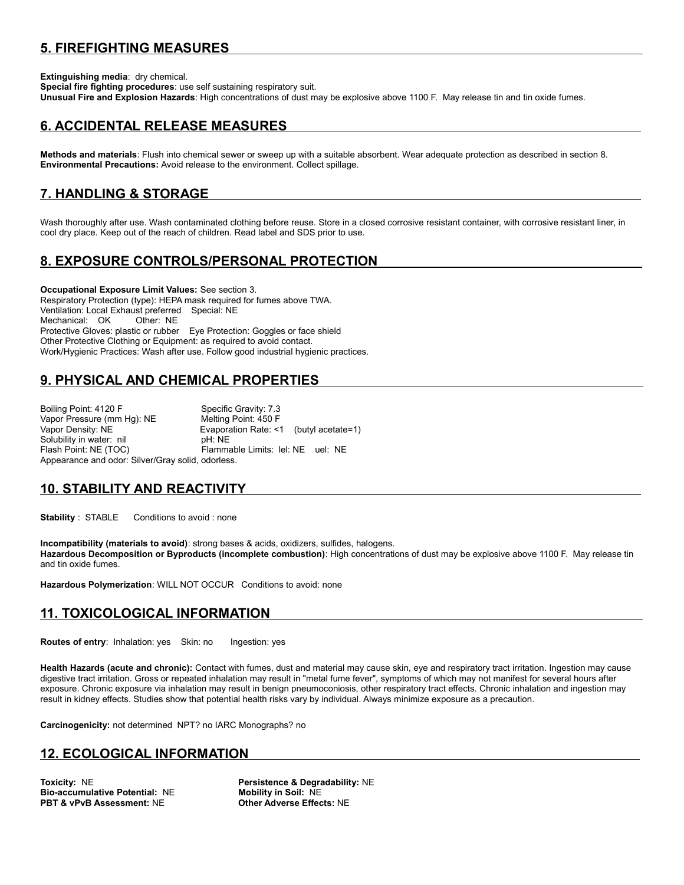## **5. FIREFIGHTING MEASURES**

**Extinguishing media**: dry chemical.

**Special fire fighting procedures**: use self sustaining respiratory suit. **Unusual Fire and Explosion Hazards**: High concentrations of dust may be explosive above 1100 F. May release tin and tin oxide fumes.

## **6. ACCIDENTAL RELEASE MEASURES**

**Methods and materials**: Flush into chemical sewer or sweep up with a suitable absorbent. Wear adequate protection as described in section 8. **Environmental Precautions:** Avoid release to the environment. Collect spillage.

## **7. HANDLING & STORAGE**

Wash thoroughly after use. Wash contaminated clothing before reuse. Store in a closed corrosive resistant container, with corrosive resistant liner, in cool dry place. Keep out of the reach of children. Read label and SDS prior to use.

### **8. EXPOSURE CONTROLS/PERSONAL PROTECTION**

**Occupational Exposure Limit Values:** See section 3. Respiratory Protection (type): HEPA mask required for fumes above TWA. Ventilation: Local Exhaust preferred Special: NE Mechanical: OK Other: NE Protective Gloves: plastic or rubber Eye Protection: Goggles or face shield Other Protective Clothing or Equipment: as required to avoid contact. Work/Hygienic Practices: Wash after use. Follow good industrial hygienic practices.

## **9. PHYSICAL AND CHEMICAL PROPERTIES**

Boiling Point: 4120 F Specific Gravity: 7.3 Vapor Pressure (mm Hg): NE Melting Point: 450 F Vapor Density: NE Evaporation Rate: <1 (butyl acetate=1) Solubility in water: nil pH: NE Flash Point: NE (TOC) Flammable Limits: lel: NE uel: NE Appearance and odor: Silver/Gray solid, odorless.

#### **10. STABILITY AND REACTIVITY**

**Stability** : STABLE Conditions to avoid : none

**Incompatibility (materials to avoid)**: strong bases & acids, oxidizers, sulfides, halogens. **Hazardous Decomposition or Byproducts (incomplete combustion)**: High concentrations of dust may be explosive above 1100 F. May release tin and tin oxide fumes.

**Hazardous Polymerization**: WILL NOT OCCUR Conditions to avoid: none

#### **11. TOXICOLOGICAL INFORMATION**

**Routes of entry:** Inhalation: yes Skin: no Ingestion: yes

**Health Hazards (acute and chronic):** Contact with fumes, dust and material may cause skin, eye and respiratory tract irritation. Ingestion may cause digestive tract irritation. Gross or repeated inhalation may result in "metal fume fever", symptoms of which may not manifest for several hours after exposure. Chronic exposure via inhalation may result in benign pneumoconiosis, other respiratory tract effects. Chronic inhalation and ingestion may result in kidney effects. Studies show that potential health risks vary by individual. Always minimize exposure as a precaution.

**Carcinogenicity:** not determined NPT? no IARC Monographs? no

## **12. ECOLOGICAL INFORMATION**

**Bio-accumulative Potential:** NE **Mobility in Soil:** NE **PBT & vPvB Assessment:** NE **Other Adverse Effects:** NE

**Toxicity:** NE **Persistence & Degradability:** NE